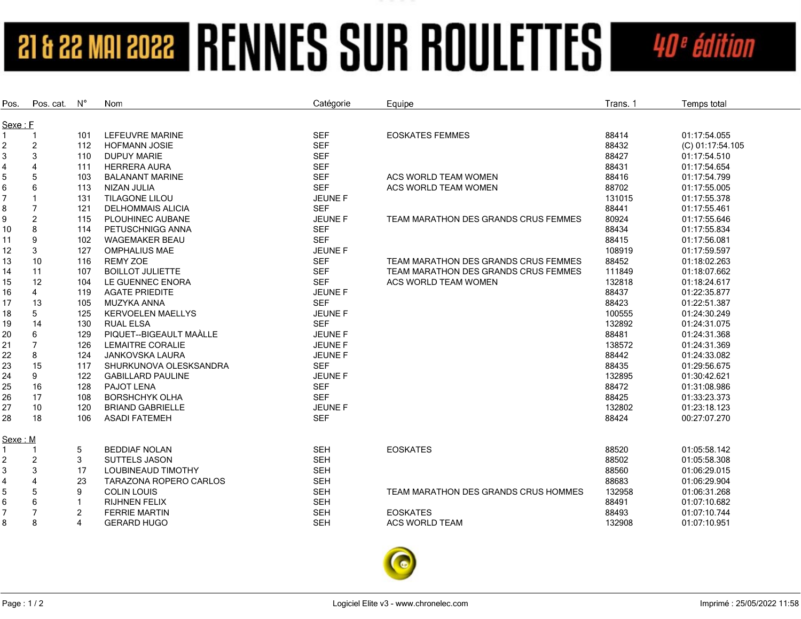## **21 & 22 MAI 2022 | RENNES SUR ROULETTES** 40<sup>e</sup> édition

| Pos.           | Pos. cat.      | $N^{\circ}$    | Nom                       | Catégorie      | Equipe                               | Trans. 1 | Temps total      |
|----------------|----------------|----------------|---------------------------|----------------|--------------------------------------|----------|------------------|
| Sexe: F        |                |                |                           |                |                                      |          |                  |
| 1              |                | 101            | LEFEUVRE MARINE           | <b>SEF</b>     | <b>EOSKATES FEMMES</b>               | 88414    | 01:17:54.055     |
| 2              | $\overline{2}$ | 112            | <b>HOFMANN JOSIE</b>      | <b>SEF</b>     |                                      | 88432    | (C) 01:17:54.105 |
| 3              | 3              | 110            | <b>DUPUY MARIE</b>        | <b>SEF</b>     |                                      | 88427    | 01:17:54.510     |
| 4              | $\overline{4}$ | 111            | <b>HERRERA AURA</b>       | <b>SEF</b>     |                                      | 88431    | 01:17:54.654     |
| 5              | 5              | 103            | <b>BALANANT MARINE</b>    | <b>SEF</b>     | ACS WORLD TEAM WOMEN                 | 88416    | 01:17:54.799     |
| 6              | 6              | 113            | NIZAN JULIA               | <b>SEF</b>     | ACS WORLD TEAM WOMEN                 | 88702    | 01:17:55.005     |
| 7              |                | 131            | TILAGONE LILOU            | JEUNE F        |                                      | 131015   | 01:17:55.378     |
| 8              | $\overline{7}$ | 121            | <b>DELHOMMAIS ALICIA</b>  | <b>SEF</b>     |                                      | 88441    | 01:17:55.461     |
| 9              | $\overline{c}$ | 115            | PLOUHINEC AUBANE          | JEUNE F        | TEAM MARATHON DES GRANDS CRUS FEMMES | 80924    | 01:17:55.646     |
| 10             | 8              | 114            | PETUSCHNIGG ANNA          | <b>SEF</b>     |                                      | 88434    | 01:17:55.834     |
| 11             | 9              | 102            | <b>WAGEMAKER BEAU</b>     | <b>SEF</b>     |                                      | 88415    | 01:17:56.081     |
| 12             | 3              | 127            | <b>OMPHALIUS MAE</b>      | JEUNE F        |                                      | 108919   | 01:17:59.597     |
| 13             | 10             | 116            | <b>REMY ZOE</b>           | <b>SEF</b>     | TEAM MARATHON DES GRANDS CRUS FEMMES | 88452    | 01:18:02.263     |
| 14             | 11             | 107            | <b>BOILLOT JULIETTE</b>   | <b>SEF</b>     | TEAM MARATHON DES GRANDS CRUS FEMMES | 111849   | 01:18:07.662     |
| 15             | 12             | 104            | LE GUENNEC ENORA          | <b>SEF</b>     | ACS WORLD TEAM WOMEN                 | 132818   | 01:18:24.617     |
| 16             | 4              | 119            | <b>AGATE PRIEDITE</b>     | <b>JEUNE F</b> |                                      | 88437    | 01:22:35.877     |
| 17             | 13             | 105            | MUZYKA ANNA               | <b>SEF</b>     |                                      | 88423    | 01:22:51.387     |
| 18             | 5              | 125            | <b>KERVOELEN MAELLYS</b>  | <b>JEUNE F</b> |                                      | 100555   | 01:24:30.249     |
| 19             | 14             | 130            | <b>RUAL ELSA</b>          | <b>SEF</b>     |                                      | 132892   | 01:24:31.075     |
| 20             | 6              | 129            | PIQUET--BIGEAULT MAALLE   | <b>JEUNE F</b> |                                      | 88481    | 01:24:31.368     |
| 21             | $\overline{7}$ | 126            | <b>LEMAITRE CORALIE</b>   | <b>JEUNE F</b> |                                      | 138572   | 01:24:31.369     |
| 22             | 8              | 124            | <b>JANKOVSKA LAURA</b>    | JEUNE F        |                                      | 88442    | 01:24:33.082     |
| 23             | 15             | 117            | SHURKUNOVA OLESKSANDRA    | <b>SEF</b>     |                                      | 88435    | 01:29:56.675     |
| 24             | 9              | 122            | <b>GABILLARD PAULINE</b>  | JEUNE F        |                                      | 132895   | 01:30:42.621     |
| 25             | 16             | 128            | PAJOT LENA                | <b>SEF</b>     |                                      | 88472    | 01:31:08.986     |
| 26             | 17             | 108            | <b>BORSHCHYK OLHA</b>     | <b>SEF</b>     |                                      | 88425    | 01:33:23.373     |
| 27             | 10             | 120            | <b>BRIAND GABRIELLE</b>   | <b>JEUNE F</b> |                                      | 132802   | 01:23:18.123     |
| 28             | 18             | 106            | <b>ASADI FATEMEH</b>      | <b>SEF</b>     |                                      | 88424    | 00:27:07.270     |
| Sexe: M        |                |                |                           |                |                                      |          |                  |
|                |                | 5              | <b>BEDDIAF NOLAN</b>      | <b>SEH</b>     | <b>EOSKATES</b>                      | 88520    | 01:05:58.142     |
| 2              | $\overline{2}$ | 3              | <b>SUTTELS JASON</b>      | <b>SEH</b>     |                                      | 88502    | 01:05:58.308     |
| 3              | 3              | 17             | <b>LOUBINEAUD TIMOTHY</b> | <b>SEH</b>     |                                      | 88560    | 01:06:29.015     |
| 4              | $\overline{4}$ | 23             | TARAZONA ROPERO CARLOS    | <b>SEH</b>     |                                      | 88683    | 01:06:29.904     |
| 5              | 5              | 9              | <b>COLIN LOUIS</b>        | <b>SEH</b>     | TEAM MARATHON DES GRANDS CRUS HOMMES | 132958   | 01:06:31.268     |
| 6              | 6              | 1              | <b>RIJHNEN FELIX</b>      | <b>SEH</b>     |                                      | 88491    | 01:07:10.682     |
| $\overline{7}$ | $\overline{7}$ | $\overline{c}$ | <b>FERRIE MARTIN</b>      | <b>SEH</b>     | <b>EOSKATES</b>                      | 88493    | 01:07:10.744     |
| 8              | 8              | 4              | <b>GERARD HUGO</b>        | <b>SEH</b>     | <b>ACS WORLD TEAM</b>                | 132908   | 01:07:10.951     |